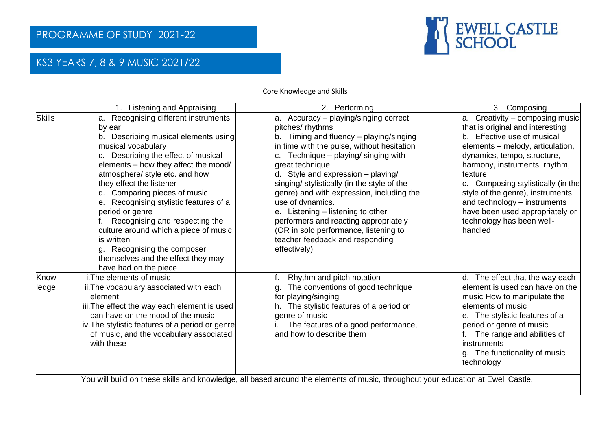

## KS3 YEARS 7, 8 & 9 MUSIC 2021/22

Core Knowledge and Skills

|                                                                                                                                  | 1. Listening and Appraising                                                                                                                                                                                                                                                                                                                                                                                                                                                                                                                   | 2. Performing                                                                                                                                                                                                                                                                                                                                                                                                                                                                                                                                 | 3. Composing                                                                                                                                                                                                                                                                                                                                                                                           |  |  |
|----------------------------------------------------------------------------------------------------------------------------------|-----------------------------------------------------------------------------------------------------------------------------------------------------------------------------------------------------------------------------------------------------------------------------------------------------------------------------------------------------------------------------------------------------------------------------------------------------------------------------------------------------------------------------------------------|-----------------------------------------------------------------------------------------------------------------------------------------------------------------------------------------------------------------------------------------------------------------------------------------------------------------------------------------------------------------------------------------------------------------------------------------------------------------------------------------------------------------------------------------------|--------------------------------------------------------------------------------------------------------------------------------------------------------------------------------------------------------------------------------------------------------------------------------------------------------------------------------------------------------------------------------------------------------|--|--|
| <b>Skills</b>                                                                                                                    | a. Recognising different instruments<br>by ear<br>b. Describing musical elements using<br>musical vocabulary<br>c. Describing the effect of musical<br>elements - how they affect the mood/<br>atmosphere/ style etc. and how<br>they effect the listener<br>d. Comparing pieces of music<br>e. Recognising stylistic features of a<br>period or genre<br>Recognising and respecting the<br>culture around which a piece of music<br>is written<br>g. Recognising the composer<br>themselves and the effect they may<br>have had on the piece | a. Accuracy – playing/singing correct<br>pitches/ rhythms<br>b. Timing and fluency - playing/singing<br>in time with the pulse, without hesitation<br>c. Technique - playing/ singing with<br>great technique<br>d. Style and expression - playing/<br>singing/ stylistically (in the style of the<br>genre) and with expression, including the<br>use of dynamics.<br>e. Listening – listening to other<br>performers and reacting appropriately<br>(OR in solo performance, listening to<br>teacher feedback and responding<br>effectively) | a. Creativity – composing music<br>that is original and interesting<br>b. Effective use of musical<br>elements – melody, articulation,<br>dynamics, tempo, structure,<br>harmony, instruments, rhythm,<br>texture<br>c. Composing stylistically (in the<br>style of the genre), instruments<br>and technology - instruments<br>have been used appropriately or<br>technology has been well-<br>handled |  |  |
| Know-<br>ledge                                                                                                                   | i. The elements of music<br>ii. The vocabulary associated with each<br>element<br>iii. The effect the way each element is used<br>can have on the mood of the music<br>iv. The stylistic features of a period or genre<br>of music, and the vocabulary associated<br>with these                                                                                                                                                                                                                                                               | Rhythm and pitch notation<br>The conventions of good technique<br>q.<br>for playing/singing<br>The stylistic features of a period or<br>h.<br>genre of music<br>The features of a good performance,<br>and how to describe them                                                                                                                                                                                                                                                                                                               | d. The effect that the way each<br>element is used can have on the<br>music How to manipulate the<br>elements of music<br>e. The stylistic features of a<br>period or genre of music<br>The range and abilities of<br>instruments<br>g. The functionality of music<br>technology                                                                                                                       |  |  |
| You will build on these skills and knowledge, all based around the elements of music, throughout your education at Ewell Castle. |                                                                                                                                                                                                                                                                                                                                                                                                                                                                                                                                               |                                                                                                                                                                                                                                                                                                                                                                                                                                                                                                                                               |                                                                                                                                                                                                                                                                                                                                                                                                        |  |  |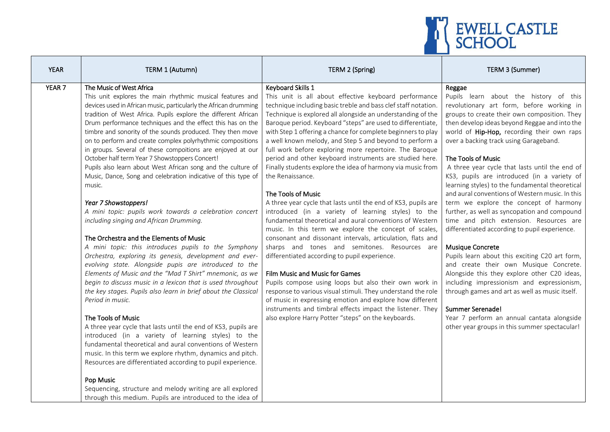

| <b>YEAR</b>       | TERM 1 (Autumn)                                                                                                                                                                                                                                                                                                                                                                                                                                                                                                                                                                                                                                                                                                                                                                                                                                                                                                                                                                                                                                                                                                                                                                                                                                                                                                                                                                                                                                                                                                                                                                                                                                                                                                                      | TERM 2 (Spring)                                                                                                                                                                                                                                                                                                                                                                                                                                                                                                                                                                                                                                                                                                                                                                                                                                                                                                                                                                                                                                                                                                                                                                                                                                                                                                                                                                               | TERM 3 (Summer)                                                                                                                                                                                                                                                                                                                                                                                                                                                                                                                                                                                                                                                                                                                                                                                                                                                                                                                                                                                                                                                                                     |
|-------------------|--------------------------------------------------------------------------------------------------------------------------------------------------------------------------------------------------------------------------------------------------------------------------------------------------------------------------------------------------------------------------------------------------------------------------------------------------------------------------------------------------------------------------------------------------------------------------------------------------------------------------------------------------------------------------------------------------------------------------------------------------------------------------------------------------------------------------------------------------------------------------------------------------------------------------------------------------------------------------------------------------------------------------------------------------------------------------------------------------------------------------------------------------------------------------------------------------------------------------------------------------------------------------------------------------------------------------------------------------------------------------------------------------------------------------------------------------------------------------------------------------------------------------------------------------------------------------------------------------------------------------------------------------------------------------------------------------------------------------------------|-----------------------------------------------------------------------------------------------------------------------------------------------------------------------------------------------------------------------------------------------------------------------------------------------------------------------------------------------------------------------------------------------------------------------------------------------------------------------------------------------------------------------------------------------------------------------------------------------------------------------------------------------------------------------------------------------------------------------------------------------------------------------------------------------------------------------------------------------------------------------------------------------------------------------------------------------------------------------------------------------------------------------------------------------------------------------------------------------------------------------------------------------------------------------------------------------------------------------------------------------------------------------------------------------------------------------------------------------------------------------------------------------|-----------------------------------------------------------------------------------------------------------------------------------------------------------------------------------------------------------------------------------------------------------------------------------------------------------------------------------------------------------------------------------------------------------------------------------------------------------------------------------------------------------------------------------------------------------------------------------------------------------------------------------------------------------------------------------------------------------------------------------------------------------------------------------------------------------------------------------------------------------------------------------------------------------------------------------------------------------------------------------------------------------------------------------------------------------------------------------------------------|
| YEAR <sub>7</sub> | The Music of West Africa<br>This unit explores the main rhythmic musical features and<br>devices used in African music, particularly the African drumming<br>tradition of West Africa. Pupils explore the different African<br>Drum performance techniques and the effect this has on the<br>timbre and sonority of the sounds produced. They then move<br>on to perform and create complex polyrhythmic compositions<br>in groups. Several of these compoitions are enjoyed at our<br>October half term Year 7 Showstoppers Concert!<br>Pupils also learn about West African song and the culture of<br>Music, Dance, Song and celebration indicative of this type of<br>music.<br>Year 7 Showstoppers!<br>A mini topic: pupils work towards a celebration concert<br>including singing and African Drumming.<br>The Orchestra and the Elements of Music<br>A mini topic: this introduces pupils to the Symphony<br>Orchestra, exploring its genesis, development and ever-<br>evolving state. Alongside pupis are introduced to the<br>Elements of Music and the "Mad T Shirt" mnemonic, as we<br>begin to discuss music in a lexicon that is used throughout<br>the key stages. Pupils also learn in brief about the Classical<br>Period in music.<br>The Tools of Music<br>A three year cycle that lasts until the end of KS3, pupils are<br>introduced (in a variety of learning styles) to the<br>fundamental theoretical and aural conventions of Western<br>music. In this term we explore rhythm, dynamics and pitch.<br>Resources are differentiated according to pupil experience.<br>Pop Music<br>Sequencing, structure and melody writing are all explored<br>through this medium. Pupils are introduced to the idea of | Keyboard Skills 1<br>This unit is all about effective keyboard performance<br>technique including basic treble and bass clef staff notation.<br>Technique is explored all alongside an understanding of the<br>Baroque period. Keyboard "steps" are used to differentiate,<br>with Step 1 offering a chance for complete beginners to play<br>a well known melody, and Step 5 and beyond to perform a<br>full work before exploring more repertoire. The Baroque<br>period and other keyboard instruments are studied here.<br>Finally students explore the idea of harmony via music from<br>the Renaissance.<br>The Tools of Music<br>A three year cycle that lasts until the end of KS3, pupils are<br>introduced (in a variety of learning styles) to the<br>fundamental theoretical and aural conventions of Western<br>music. In this term we explore the concept of scales,<br>consonant and dissonant intervals, articulation, flats and<br>sharps and tones and semitones. Resources are<br>differentiated according to pupil experience.<br>Film Music and Music for Games<br>Pupils compose using loops but also their own work in<br>response to various visual stimuli. They understand the role<br>of music in expressing emotion and explore how different<br>instruments and timbral effects impact the listener. They<br>also explore Harry Potter "steps" on the keyboards. | Reggae<br>Pupils learn about the history of this<br>revolutionary art form, before working in<br>groups to create their own composition. They<br>then develop ideas beyond Reggae and into the<br>world of Hip-Hop, recording their own raps<br>over a backing track using Garageband.<br>The Tools of Music<br>A three year cycle that lasts until the end of<br>KS3, pupils are introduced (in a variety of<br>learning styles) to the fundamental theoretical<br>and aural conventions of Western music. In this<br>term we explore the concept of harmony<br>further, as well as syncopation and compound<br>time and pitch extension. Resources are<br>differentiated according to pupil experience.<br><b>Musique Concrete</b><br>Pupils learn about this exciting C20 art form,<br>and create their own Musique Concrete.<br>Alongside this they explore other C20 ideas,<br>including impressionism and expressionism,<br>through games and art as well as music itself.<br>Summer Serenade!<br>Year 7 perform an annual cantata alongside<br>other year groups in this summer spectacular! |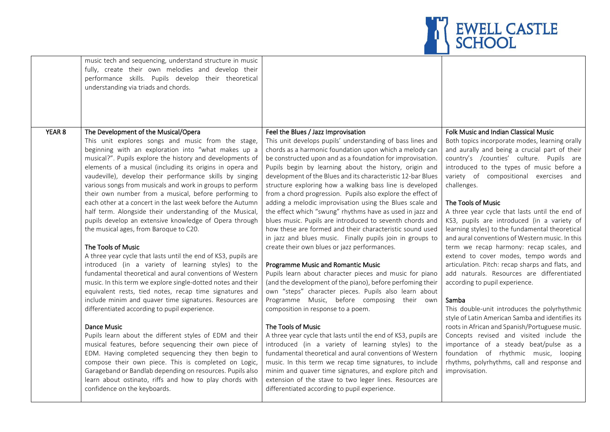

|        | music tech and sequencing, understand structure in music<br>fully, create their own melodies and develop their<br>performance skills. Pupils develop their theoretical<br>understanding via triads and chords.                                                                                                                                                                                                                                                                                                                                                                                                                                                                                                                                                                                                                                                                                                                                                                                                                                                                                                                                                                                                                                                                                                                                                                                                         |                                                                                                                                                                                                                                                                                                                                                                                                                                                                                                                                                                                                                                                                                                                                                                                                                                                                                                                                                                                                                                                                                                                                                                                                                                                                                                                                                                                                                                                       |                                                                                                                                                                                                                                                                                                                                                                                                                                                                                                                                                                                                                                                                                                                                                                                                                                                                                                                                                                                                                                                                         |
|--------|------------------------------------------------------------------------------------------------------------------------------------------------------------------------------------------------------------------------------------------------------------------------------------------------------------------------------------------------------------------------------------------------------------------------------------------------------------------------------------------------------------------------------------------------------------------------------------------------------------------------------------------------------------------------------------------------------------------------------------------------------------------------------------------------------------------------------------------------------------------------------------------------------------------------------------------------------------------------------------------------------------------------------------------------------------------------------------------------------------------------------------------------------------------------------------------------------------------------------------------------------------------------------------------------------------------------------------------------------------------------------------------------------------------------|-------------------------------------------------------------------------------------------------------------------------------------------------------------------------------------------------------------------------------------------------------------------------------------------------------------------------------------------------------------------------------------------------------------------------------------------------------------------------------------------------------------------------------------------------------------------------------------------------------------------------------------------------------------------------------------------------------------------------------------------------------------------------------------------------------------------------------------------------------------------------------------------------------------------------------------------------------------------------------------------------------------------------------------------------------------------------------------------------------------------------------------------------------------------------------------------------------------------------------------------------------------------------------------------------------------------------------------------------------------------------------------------------------------------------------------------------------|-------------------------------------------------------------------------------------------------------------------------------------------------------------------------------------------------------------------------------------------------------------------------------------------------------------------------------------------------------------------------------------------------------------------------------------------------------------------------------------------------------------------------------------------------------------------------------------------------------------------------------------------------------------------------------------------------------------------------------------------------------------------------------------------------------------------------------------------------------------------------------------------------------------------------------------------------------------------------------------------------------------------------------------------------------------------------|
| YEAR 8 | The Development of the Musical/Opera                                                                                                                                                                                                                                                                                                                                                                                                                                                                                                                                                                                                                                                                                                                                                                                                                                                                                                                                                                                                                                                                                                                                                                                                                                                                                                                                                                                   | Feel the Blues / Jazz Improvisation                                                                                                                                                                                                                                                                                                                                                                                                                                                                                                                                                                                                                                                                                                                                                                                                                                                                                                                                                                                                                                                                                                                                                                                                                                                                                                                                                                                                                   | Folk Music and Indian Classical Music                                                                                                                                                                                                                                                                                                                                                                                                                                                                                                                                                                                                                                                                                                                                                                                                                                                                                                                                                                                                                                   |
|        | This unit explores songs and music from the stage,<br>beginning with an exploration into "what makes up a<br>musical?". Pupils explore the history and developments of<br>elements of a musical (including its origins in opera and<br>vaudeville), develop their performance skills by singing<br>various songs from musicals and work in groups to perform<br>their own number from a musical, before performing to<br>each other at a concert in the last week before the Autumn<br>half term. Alongside their understanding of the Musical,<br>pupils develop an extensive knowledge of Opera through<br>the musical ages, from Baroque to C20.<br>The Tools of Music<br>A three year cycle that lasts until the end of KS3, pupils are<br>introduced (in a variety of learning styles) to the<br>fundamental theoretical and aural conventions of Western<br>music. In this term we explore single-dotted notes and their<br>equivalent rests, tied notes, recap time signatures and<br>include minim and quaver time signatures. Resources are<br>differentiated according to pupil experience.<br>Dance Music<br>Pupils learn about the different styles of EDM and their<br>musical features, before sequencing their own piece of<br>EDM. Having completed sequencing they then begin to<br>compose their own piece. This is completed on Logic,<br>Garageband or Bandlab depending on resources. Pupils also | This unit develops pupils' understanding of bass lines and<br>chords as a harmonic foundation upon which a melody can<br>be constructed upon and as a foundation for improvisation.<br>Pupils begin by learning about the history, origin and<br>development of the Blues and its characteristic 12-bar Blues<br>structure exploring how a walking bass line is developed<br>from a chord progression. Pupils also explore the effect of<br>adding a melodic improvisation using the Blues scale and<br>the effect which "swung" rhythms have as used in jazz and<br>blues music. Pupils are introduced to seventh chords and<br>how these are formed and their characteristic sound used<br>in jazz and blues music. Finally pupils join in groups to<br>create their own blues or jazz performances.<br>Programme Music and Romantic Music<br>Pupils learn about character pieces and music for piano<br>(and the development of the piano), before perfoming their<br>own "steps" character pieces. Pupils also learn about<br>Programme Music, before composing their own<br>composition in response to a poem.<br>The Tools of Music<br>A three year cycle that lasts until the end of KS3, pupils are<br>introduced (in a variety of learning styles) to the<br>fundamental theoretical and aural conventions of Western<br>music. In this term we recap time signatures, to include<br>minim and quaver time signatures, and explore pitch and | Both topics incorporate modes, learning orally<br>and aurally and being a crucial part of their<br>country's /counties' culture. Pupils are<br>introduced to the types of music before a<br>variety of compositional exercises and<br>challenges.<br>The Tools of Music<br>A three year cycle that lasts until the end of<br>KS3, pupils are introduced (in a variety of<br>learning styles) to the fundamental theoretical<br>and aural conventions of Western music. In this<br>term we recap harmony: recap scales, and<br>extend to cover modes, tempo words and<br>articulation. Pitch: recap sharps and flats, and<br>add naturals. Resources are differentiated<br>according to pupil experience.<br>Samba<br>This double-unit introduces the polyrhythmic<br>style of Latin American Samba and identifies its<br>roots in African and Spanish/Portuguese music.<br>Concepts revised and visited include the<br>importance of a steady beat/pulse as a<br>foundation of rhythmic music, looping<br>rhythms, polyrhythms, call and response and<br>improvisation. |
|        | learn about ostinato, riffs and how to play chords with<br>confidence on the keyboards.                                                                                                                                                                                                                                                                                                                                                                                                                                                                                                                                                                                                                                                                                                                                                                                                                                                                                                                                                                                                                                                                                                                                                                                                                                                                                                                                | extension of the stave to two leger lines. Resources are<br>differentiated according to pupil experience.                                                                                                                                                                                                                                                                                                                                                                                                                                                                                                                                                                                                                                                                                                                                                                                                                                                                                                                                                                                                                                                                                                                                                                                                                                                                                                                                             |                                                                                                                                                                                                                                                                                                                                                                                                                                                                                                                                                                                                                                                                                                                                                                                                                                                                                                                                                                                                                                                                         |